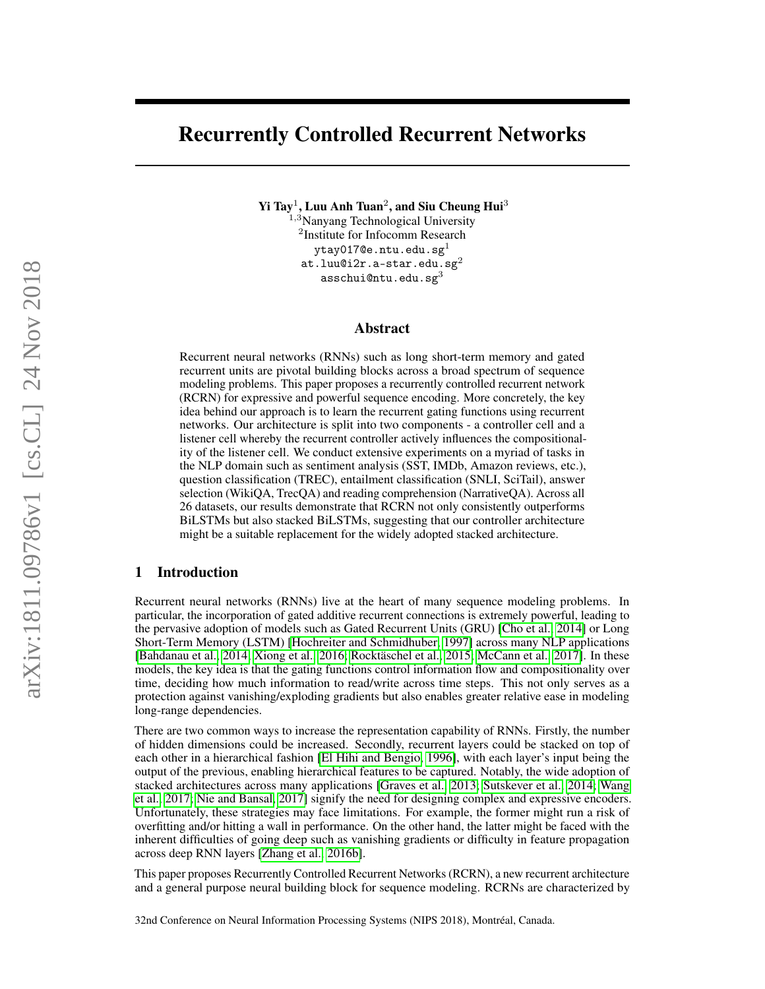# Recurrently Controlled Recurrent Networks

Yi Tay<sup>1</sup>, Luu Anh Tuan<sup>2</sup>, and Siu Cheung Hui<sup>3</sup>

 $^{1,3}$ Nanyang Technological University 2 Institute for Infocomm Research ytay017@e.ntu.edu.sg<sup>1</sup> at.luu@i $2r.a$ -star.edu.sg $^{2}$ asschui@ntu.edu.sg $3$ 

#### Abstract

Recurrent neural networks (RNNs) such as long short-term memory and gated recurrent units are pivotal building blocks across a broad spectrum of sequence modeling problems. This paper proposes a recurrently controlled recurrent network (RCRN) for expressive and powerful sequence encoding. More concretely, the key idea behind our approach is to learn the recurrent gating functions using recurrent networks. Our architecture is split into two components - a controller cell and a listener cell whereby the recurrent controller actively influences the compositionality of the listener cell. We conduct extensive experiments on a myriad of tasks in the NLP domain such as sentiment analysis (SST, IMDb, Amazon reviews, etc.), question classification (TREC), entailment classification (SNLI, SciTail), answer selection (WikiQA, TrecQA) and reading comprehension (NarrativeQA). Across all 26 datasets, our results demonstrate that RCRN not only consistently outperforms BiLSTMs but also stacked BiLSTMs, suggesting that our controller architecture might be a suitable replacement for the widely adopted stacked architecture.

## 1 Introduction

Recurrent neural networks (RNNs) live at the heart of many sequence modeling problems. In particular, the incorporation of gated additive recurrent connections is extremely powerful, leading to the pervasive adoption of models such as Gated Recurrent Units (GRU) [\[Cho et al., 2014\]](#page-8-0) or Long Short-Term Memory (LSTM) [\[Hochreiter and Schmidhuber, 1997\]](#page-9-0) across many NLP applications [\[Bahdanau et al., 2014;](#page-8-1) [Xiong et al., 2016;](#page-11-0) [Rocktäschel et al., 2015;](#page-10-0) [McCann et al., 2017\]](#page-10-1). In these models, the key idea is that the gating functions control information flow and compositionality over time, deciding how much information to read/write across time steps. This not only serves as a protection against vanishing/exploding gradients but also enables greater relative ease in modeling long-range dependencies.

There are two common ways to increase the representation capability of RNNs. Firstly, the number of hidden dimensions could be increased. Secondly, recurrent layers could be stacked on top of each other in a hierarchical fashion [\[El Hihi and Bengio, 1996\]](#page-9-1), with each layer's input being the output of the previous, enabling hierarchical features to be captured. Notably, the wide adoption of stacked architectures across many applications [\[Graves et al., 2013;](#page-9-2) [Sutskever et al., 2014;](#page-11-1) [Wang](#page-11-2) [et al., 2017;](#page-11-2) [Nie and Bansal, 2017\]](#page-10-2) signify the need for designing complex and expressive encoders. Unfortunately, these strategies may face limitations. For example, the former might run a risk of overfitting and/or hitting a wall in performance. On the other hand, the latter might be faced with the inherent difficulties of going deep such as vanishing gradients or difficulty in feature propagation across deep RNN layers [\[Zhang et al., 2016b\]](#page-12-0).

This paper proposes Recurrently Controlled Recurrent Networks (RCRN), a new recurrent architecture and a general purpose neural building block for sequence modeling. RCRNs are characterized by

32nd Conference on Neural Information Processing Systems (NIPS 2018), Montréal, Canada.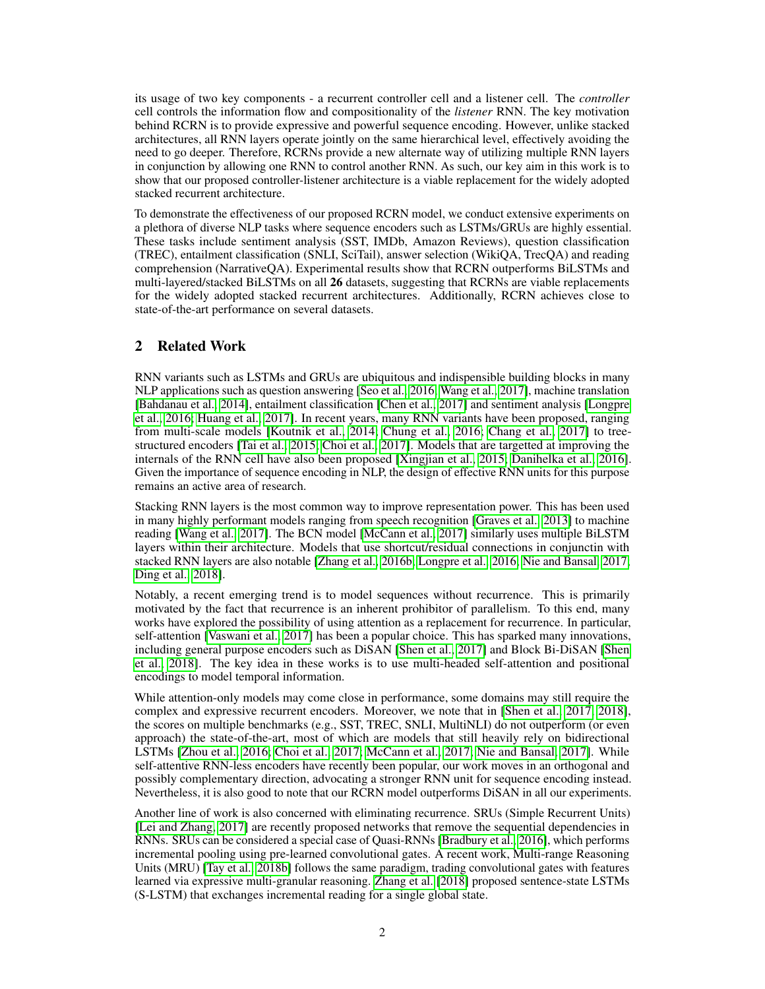its usage of two key components - a recurrent controller cell and a listener cell. The *controller* cell controls the information flow and compositionality of the *listener* RNN. The key motivation behind RCRN is to provide expressive and powerful sequence encoding. However, unlike stacked architectures, all RNN layers operate jointly on the same hierarchical level, effectively avoiding the need to go deeper. Therefore, RCRNs provide a new alternate way of utilizing multiple RNN layers in conjunction by allowing one RNN to control another RNN. As such, our key aim in this work is to show that our proposed controller-listener architecture is a viable replacement for the widely adopted stacked recurrent architecture.

To demonstrate the effectiveness of our proposed RCRN model, we conduct extensive experiments on a plethora of diverse NLP tasks where sequence encoders such as LSTMs/GRUs are highly essential. These tasks include sentiment analysis (SST, IMDb, Amazon Reviews), question classification (TREC), entailment classification (SNLI, SciTail), answer selection (WikiQA, TrecQA) and reading comprehension (NarrativeQA). Experimental results show that RCRN outperforms BiLSTMs and multi-layered/stacked BiLSTMs on all 26 datasets, suggesting that RCRNs are viable replacements for the widely adopted stacked recurrent architectures. Additionally, RCRN achieves close to state-of-the-art performance on several datasets.

## 2 Related Work

RNN variants such as LSTMs and GRUs are ubiquitous and indispensible building blocks in many NLP applications such as question answering [\[Seo et al., 2016;](#page-10-3) [Wang et al., 2017\]](#page-11-2), machine translation [\[Bahdanau et al., 2014\]](#page-8-1), entailment classification [\[Chen et al., 2017\]](#page-8-2) and sentiment analysis [\[Longpre](#page-10-4) [et al., 2016;](#page-10-4) [Huang et al., 2017\]](#page-9-3). In recent years, many RNN variants have been proposed, ranging from multi-scale models [\[Koutnik et al., 2014;](#page-9-4) [Chung et al., 2016;](#page-9-5) [Chang et al., 2017\]](#page-8-3) to treestructured encoders [\[Tai et al., 2015;](#page-11-3) [Choi et al., 2017\]](#page-8-4). Models that are targetted at improving the internals of the RNN cell have also been proposed [\[Xingjian et al., 2015;](#page-11-4) [Danihelka et al., 2016\]](#page-9-6). Given the importance of sequence encoding in NLP, the design of effective RNN units for this purpose remains an active area of research.

Stacking RNN layers is the most common way to improve representation power. This has been used in many highly performant models ranging from speech recognition [\[Graves et al., 2013\]](#page-9-2) to machine reading [\[Wang et al., 2017\]](#page-11-2). The BCN model [\[McCann et al., 2017\]](#page-10-1) similarly uses multiple BiLSTM layers within their architecture. Models that use shortcut/residual connections in conjunctin with stacked RNN layers are also notable [\[Zhang et al., 2016b;](#page-12-0) [Longpre et al., 2016;](#page-10-4) [Nie and Bansal, 2017;](#page-10-2) [Ding et al., 2018\]](#page-9-7).

Notably, a recent emerging trend is to model sequences without recurrence. This is primarily motivated by the fact that recurrence is an inherent prohibitor of parallelism. To this end, many works have explored the possibility of using attention as a replacement for recurrence. In particular, self-attention [\[Vaswani et al., 2017\]](#page-11-5) has been a popular choice. This has sparked many innovations, including general purpose encoders such as DiSAN [\[Shen et al., 2017\]](#page-10-5) and Block Bi-DiSAN [\[Shen](#page-10-6) [et al., 2018\]](#page-10-6). The key idea in these works is to use multi-headed self-attention and positional encodings to model temporal information.

While attention-only models may come close in performance, some domains may still require the complex and expressive recurrent encoders. Moreover, we note that in [\[Shen et al., 2017,](#page-10-5) [2018\]](#page-10-6), the scores on multiple benchmarks (e.g., SST, TREC, SNLI, MultiNLI) do not outperform (or even approach) the state-of-the-art, most of which are models that still heavily rely on bidirectional LSTMs [\[Zhou et al., 2016;](#page-12-1) [Choi et al., 2017;](#page-8-4) [McCann et al., 2017;](#page-10-1) [Nie and Bansal, 2017\]](#page-10-2). While self-attentive RNN-less encoders have recently been popular, our work moves in an orthogonal and possibly complementary direction, advocating a stronger RNN unit for sequence encoding instead. Nevertheless, it is also good to note that our RCRN model outperforms DiSAN in all our experiments.

Another line of work is also concerned with eliminating recurrence. SRUs (Simple Recurrent Units) [\[Lei and Zhang, 2017\]](#page-9-8) are recently proposed networks that remove the sequential dependencies in RNNs. SRUs can be considered a special case of Quasi-RNNs [\[Bradbury et al., 2016\]](#page-8-5), which performs incremental pooling using pre-learned convolutional gates. A recent work, Multi-range Reasoning Units (MRU) [\[Tay et al., 2018b\]](#page-11-6) follows the same paradigm, trading convolutional gates with features learned via expressive multi-granular reasoning. [Zhang et al.](#page-12-2) [\[2018\]](#page-12-2) proposed sentence-state LSTMs (S-LSTM) that exchanges incremental reading for a single global state.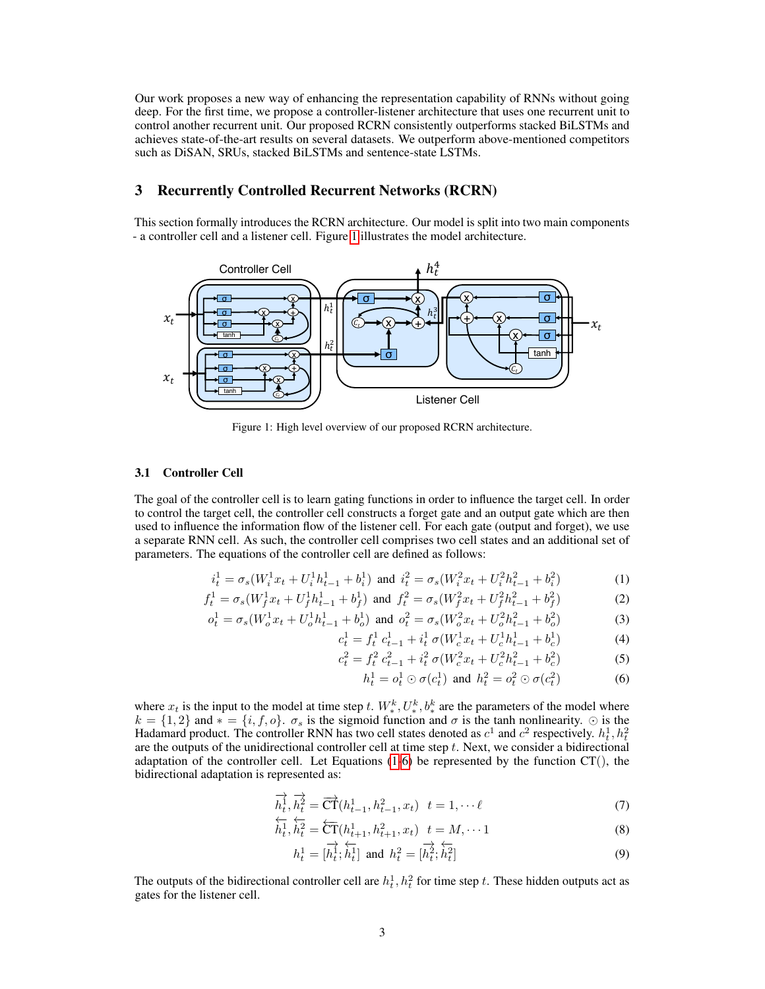Our work proposes a new way of enhancing the representation capability of RNNs without going deep. For the first time, we propose a controller-listener architecture that uses one recurrent unit to control another recurrent unit. Our proposed RCRN consistently outperforms stacked BiLSTMs and achieves state-of-the-art results on several datasets. We outperform above-mentioned competitors such as DiSAN, SRUs, stacked BiLSTMs and sentence-state LSTMs.

### 3 Recurrently Controlled Recurrent Networks (RCRN)

This section formally introduces the RCRN architecture. Our model is split into two main components - a controller cell and a listener cell. Figure [1](#page-2-0) illustrates the model architecture.

<span id="page-2-0"></span>

Figure 1: High level overview of our proposed RCRN architecture.

#### 3.1 Controller Cell

The goal of the controller cell is to learn gating functions in order to influence the target cell. In order to control the target cell, the controller cell constructs a forget gate and an output gate which are then used to influence the information flow of the listener cell. For each gate (output and forget), we use a separate RNN cell. As such, the controller cell comprises two cell states and an additional set of parameters. The equations of the controller cell are defined as follows:

$$
i_t^1 = \sigma_s(W_i^1 x_t + U_i^1 h_{t-1}^1 + b_i^1) \text{ and } i_t^2 = \sigma_s(W_i^2 x_t + U_i^2 h_{t-1}^2 + b_i^2)
$$
 (1)

$$
f_t^1 = \sigma_s (W_f^1 x_t + U_f^1 h_{t-1}^1 + b_f^1) \text{ and } f_t^2 = \sigma_s (W_f^2 x_t + U_f^2 h_{t-1}^2 + b_f^2)
$$
 (2)

$$
o_t^1 = \sigma_s (W_o^1 x_t + U_o^1 h_{t-1}^1 + b_o^1) \text{ and } o_t^2 = \sigma_s (W_o^2 x_t + U_o^2 h_{t-1}^2 + b_o^2)
$$
 (3)

$$
c_t^1 = f_t^1 c_{t-1}^1 + i_t^1 \sigma(W_c^1 x_t + U_c^1 h_{t-1}^1 + b_c^1)
$$
 (4)

$$
c_t^2 = f_t^2 c_{t-1}^2 + i_t^2 \sigma (W_c^2 x_t + U_c^2 h_{t-1}^2 + b_c^2)
$$
 (5)

<span id="page-2-2"></span><span id="page-2-1"></span>
$$
h_t^1 = o_t^1 \odot \sigma(c_t^1) \text{ and } h_t^2 = o_t^2 \odot \sigma(c_t^2) \tag{6}
$$

where  $x_t$  is the input to the model at time step t.  $W_*^k$ ,  $U_*^k$ ,  $b_*^k$  are the parameters of the model where  $k = \{1, 2\}$  and  $* = \{i, f, o\}$ .  $\sigma_s$  is the sigmoid function and  $\sigma$  is the tanh nonlinearity.  $\odot$  is the Hadamard product. The controller RNN has two cell states denoted as  $c^1$  and  $c^2$  respectively.  $h_t^1, h_t^2$  are the outputs of the unidirectional controller cell at time step t. Next, we consider a bidirectional adaptation of the controller cell. Let Equations  $(1-6)$  $(1-6)$  be represented by the function CT $()$ , the bidirectional adaptation is represented as:

$$
\overrightarrow{h_t}, \overrightarrow{h_t^2} = \overrightarrow{CT}(h_{t-1}^1, h_{t-1}^2, x_t) \quad t = 1, \dots \ell
$$
\n
$$
\overleftarrow{h_t}, \overleftarrow{h_t} = \overleftarrow{G} \quad \overleftarrow{G} \quad \overleftarrow{G} \quad \overleftarrow{G} \quad \overleftarrow{G} \quad \overleftarrow{G}
$$

$$
\overleftarrow{h_t^1}, \overleftarrow{h_t^2} = \overleftarrow{CT}(h_{t+1}^1, h_{t+1}^2, x_t) \quad t = M, \cdots 1 \tag{8}
$$

$$
h_t^1 = [\overrightarrow{h_t^1}; \overleftarrow{h_t^1}] \text{ and } h_t^2 = [\overrightarrow{h_t^2}; \overleftarrow{h_t^2}]
$$
 (9)

The outputs of the bidirectional controller cell are  $h_t^1, h_t^2$  for time step t. These hidden outputs act as gates for the listener cell.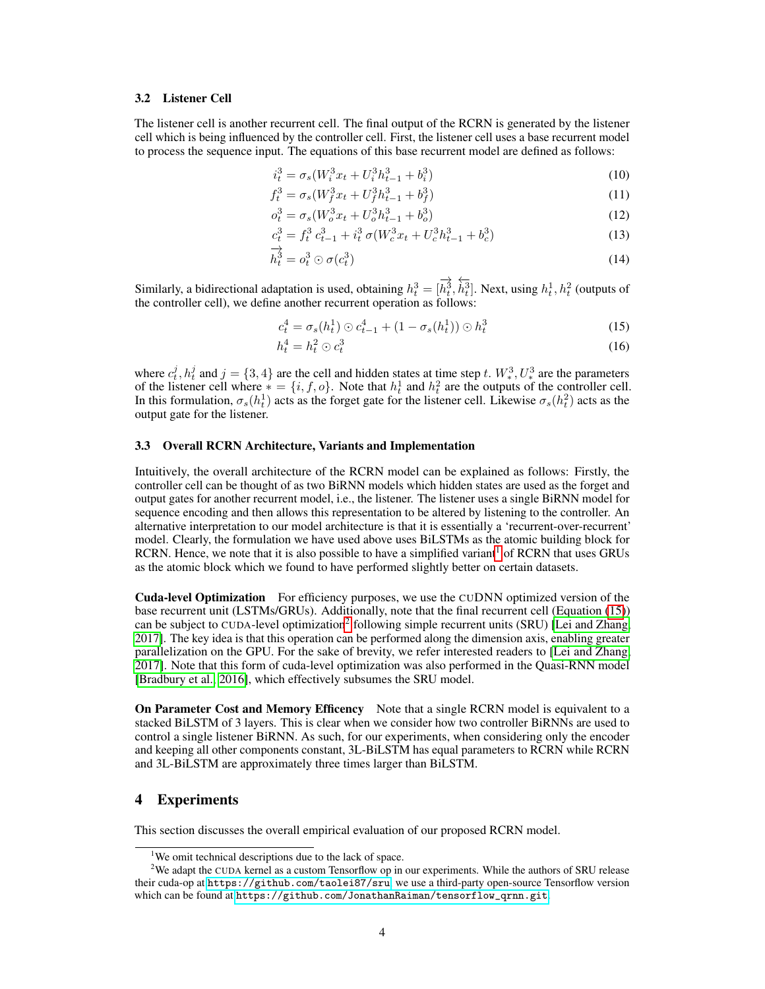#### 3.2 Listener Cell

The listener cell is another recurrent cell. The final output of the RCRN is generated by the listener cell which is being influenced by the controller cell. First, the listener cell uses a base recurrent model to process the sequence input. The equations of this base recurrent model are defined as follows:

$$
i_t^3 = \sigma_s (W_i^3 x_t + U_i^3 h_{t-1}^3 + b_i^3)
$$
\n(10)

$$
f_t^3 = \sigma_s (W_f^3 x_t + U_f^3 h_{t-1}^3 + b_f^3)
$$
\n(11)

$$
o_t^3 = \sigma_s (W_o^3 x_t + U_o^3 h_{t-1}^3 + b_o^3)
$$
\n(12)

$$
c_t^3 = f_t^3 c_{t-1}^3 + i_t^3 \sigma (W_c^3 x_t + U_c^3 h_{t-1}^3 + b_c^3)
$$
\n(13)

$$
\overrightarrow{h}_t^3 = o_t^3 \odot \sigma(c_t^3) \tag{14}
$$

Similarly, a bidirectional adaptation is used, obtaining  $h_t^3 = [$ −→  $h_t^3,$ ←−  $\dot{h}_t^3$ ]. Next, using  $h_t^1, h_t^2$  (outputs of the controller cell), we define another recurrent operation as follows:

<span id="page-3-1"></span>
$$
c_t^4 = \sigma_s(h_t^1) \odot c_{t-1}^4 + (1 - \sigma_s(h_t^1)) \odot h_t^3 \tag{15}
$$

$$
h_t^4 = h_t^2 \odot c_t^3 \tag{16}
$$

where  $c_t^j$ ,  $h_t^j$  and  $j = \{3, 4\}$  are the cell and hidden states at time step t.  $W_*^3$ ,  $U_*^3$  are the parameters of the listener cell where  $* = \{i, f, o\}$ . Note that  $h_t^1$  and  $h_t^2$  are the outputs of the controller cell. In this formulation,  $\sigma_s(h_t^1)$  acts as the forget gate for the listener cell. Likewise  $\sigma_s(h_t^2)$  acts as the output gate for the listener.

## <span id="page-3-3"></span>3.3 Overall RCRN Architecture, Variants and Implementation

Intuitively, the overall architecture of the RCRN model can be explained as follows: Firstly, the controller cell can be thought of as two BiRNN models which hidden states are used as the forget and output gates for another recurrent model, i.e., the listener. The listener uses a single BiRNN model for sequence encoding and then allows this representation to be altered by listening to the controller. An alternative interpretation to our model architecture is that it is essentially a 'recurrent-over-recurrent' model. Clearly, the formulation we have used above uses BiLSTMs as the atomic building block for RCRN. Hence, we note that it is also possible to have a simplified variant<sup>[1](#page-3-0)</sup> of RCRN that uses GRUs as the atomic block which we found to have performed slightly better on certain datasets.

Cuda-level Optimization For efficiency purposes, we use the CUDNN optimized version of the base recurrent unit (LSTMs/GRUs). Additionally, note that the final recurrent cell (Equation [\(15\)](#page-3-1)) can be subject to CUDA-level optimization<sup>[2](#page-3-2)</sup> following simple recurrent units (SRU) [\[Lei and Zhang,](#page-9-8) [2017\]](#page-9-8). The key idea is that this operation can be performed along the dimension axis, enabling greater parallelization on the GPU. For the sake of brevity, we refer interested readers to [\[Lei and Zhang,](#page-9-8) [2017\]](#page-9-8). Note that this form of cuda-level optimization was also performed in the Quasi-RNN model [\[Bradbury et al., 2016\]](#page-8-5), which effectively subsumes the SRU model.

**On Parameter Cost and Memory Efficency** Note that a single RCRN model is equivalent to a stacked BiLSTM of 3 layers. This is clear when we consider how two controller BiRNNs are used to control a single listener BiRNN. As such, for our experiments, when considering only the encoder and keeping all other components constant, 3L-BiLSTM has equal parameters to RCRN while RCRN and 3L-BiLSTM are approximately three times larger than BiLSTM.

## 4 Experiments

This section discusses the overall empirical evaluation of our proposed RCRN model.

<span id="page-3-2"></span><span id="page-3-0"></span><sup>&</sup>lt;sup>1</sup>We omit technical descriptions due to the lack of space.

<sup>&</sup>lt;sup>2</sup>We adapt the CUDA kernel as a custom Tensorflow op in our experiments. While the authors of SRU release their cuda-op at <https://github.com/taolei87/sru>, we use a third-party open-source Tensorflow version which can be found at [https://github.com/JonathanRaiman/tensorflow\\_qrnn.git](https://github.com/JonathanRaiman/tensorflow_qrnn.git).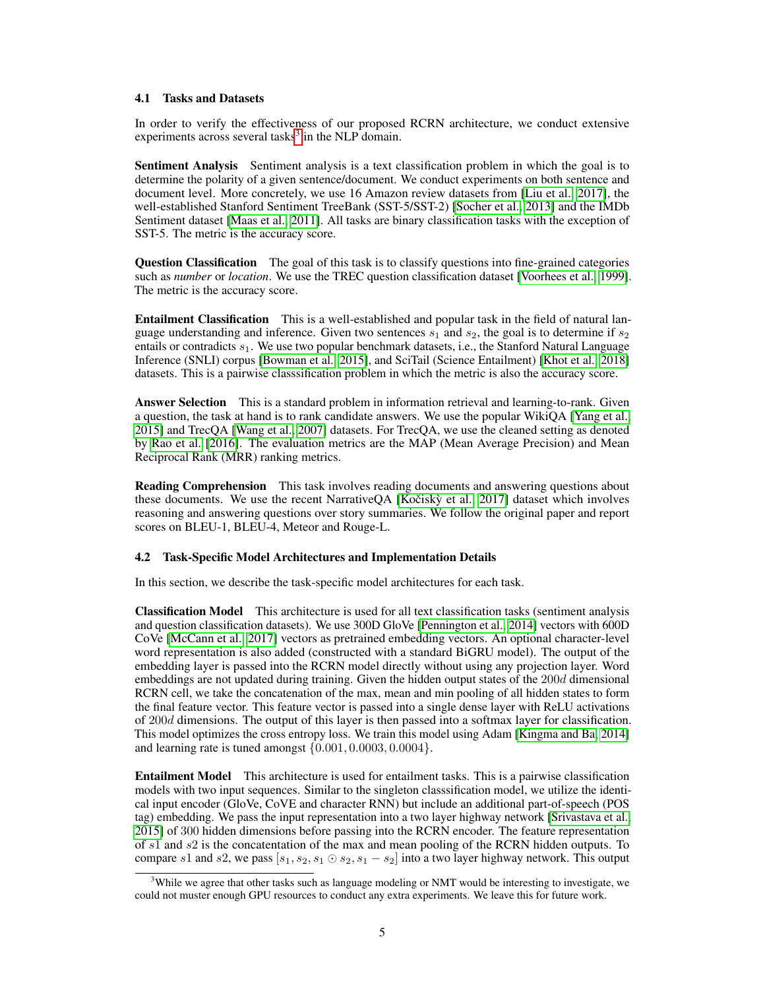#### 4.1 Tasks and Datasets

In order to verify the effectiveness of our proposed RCRN architecture, we conduct extensive experiments across several tasks $3$  in the NLP domain.

Sentiment Analysis Sentiment analysis is a text classification problem in which the goal is to determine the polarity of a given sentence/document. We conduct experiments on both sentence and document level. More concretely, we use 16 Amazon review datasets from [\[Liu et al., 2017\]](#page-10-7), the well-established Stanford Sentiment TreeBank (SST-5/SST-2) [\[Socher et al., 2013\]](#page-11-7) and the IMDb Sentiment dataset [\[Maas et al., 2011\]](#page-10-8). All tasks are binary classification tasks with the exception of SST-5. The metric is the accuracy score.

Question Classification The goal of this task is to classify questions into fine-grained categories such as *number* or *location*. We use the TREC question classification dataset [\[Voorhees et al., 1999\]](#page-11-8). The metric is the accuracy score.

Entailment Classification This is a well-established and popular task in the field of natural language understanding and inference. Given two sentences  $s_1$  and  $s_2$ , the goal is to determine if  $s_2$ entails or contradicts  $s_1$ . We use two popular benchmark datasets, i.e., the Stanford Natural Language Inference (SNLI) corpus [\[Bowman et al., 2015\]](#page-8-6), and SciTail (Science Entailment) [\[Khot et al., 2018\]](#page-9-9) datasets. This is a pairwise classsification problem in which the metric is also the accuracy score.

Answer Selection This is a standard problem in information retrieval and learning-to-rank. Given a question, the task at hand is to rank candidate answers. We use the popular WikiQA [\[Yang et al.,](#page-11-9) [2015\]](#page-11-9) and TrecQA [\[Wang et al., 2007\]](#page-11-10) datasets. For TrecQA, we use the cleaned setting as denoted by [Rao et al.](#page-10-9) [\[2016\]](#page-10-9). The evaluation metrics are the MAP (Mean Average Precision) and Mean Reciprocal Rank (MRR) ranking metrics.

Reading Comprehension This task involves reading documents and answering questions about these documents. We use the recent NarrativeQA  $[Kočisk\mathring{v}$  et al., 2017) dataset which involves reasoning and answering questions over story summaries. We follow the original paper and report scores on BLEU-1, BLEU-4, Meteor and Rouge-L.

#### 4.2 Task-Specific Model Architectures and Implementation Details

In this section, we describe the task-specific model architectures for each task.

Classification Model This architecture is used for all text classification tasks (sentiment analysis and question classification datasets). We use 300D GloVe [\[Pennington et al., 2014\]](#page-10-10) vectors with 600D CoVe [\[McCann et al., 2017\]](#page-10-1) vectors as pretrained embedding vectors. An optional character-level word representation is also added (constructed with a standard BiGRU model). The output of the embedding layer is passed into the RCRN model directly without using any projection layer. Word embeddings are not updated during training. Given the hidden output states of the  $200d$  dimensional RCRN cell, we take the concatenation of the max, mean and min pooling of all hidden states to form the final feature vector. This feature vector is passed into a single dense layer with ReLU activations of 200d dimensions. The output of this layer is then passed into a softmax layer for classification. This model optimizes the cross entropy loss. We train this model using Adam [\[Kingma and Ba, 2014\]](#page-9-11) and learning rate is tuned amongst {0.001, 0.0003, 0.0004}.

Entailment Model This architecture is used for entailment tasks. This is a pairwise classification models with two input sequences. Similar to the singleton classsification model, we utilize the identical input encoder (GloVe, CoVE and character RNN) but include an additional part-of-speech (POS tag) embedding. We pass the input representation into a two layer highway network [\[Srivastava et al.,](#page-11-11) [2015\]](#page-11-11) of 300 hidden dimensions before passing into the RCRN encoder. The feature representation of s1 and s2 is the concatentation of the max and mean pooling of the RCRN hidden outputs. To compare s1 and s2, we pass  $[s_1, s_2, s_1 \odot s_2, s_1 - s_2]$  into a two layer highway network. This output

<span id="page-4-0"></span> $3$ While we agree that other tasks such as language modeling or NMT would be interesting to investigate, we could not muster enough GPU resources to conduct any extra experiments. We leave this for future work.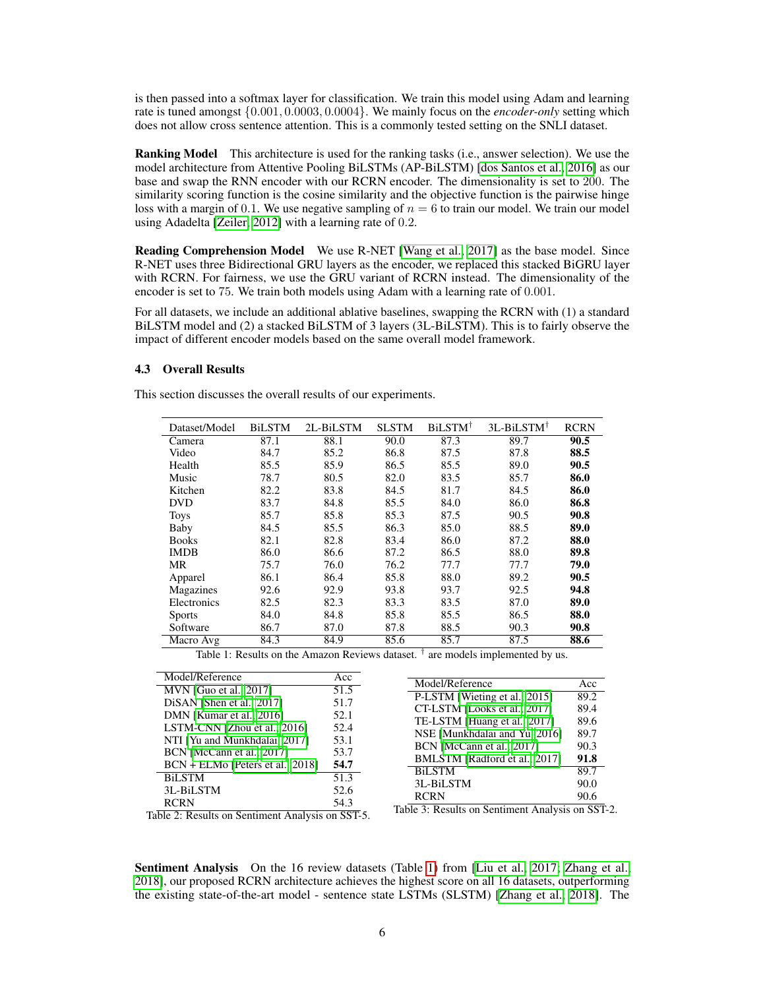is then passed into a softmax layer for classification. We train this model using Adam and learning rate is tuned amongst {0.001, 0.0003, 0.0004}. We mainly focus on the *encoder-only* setting which does not allow cross sentence attention. This is a commonly tested setting on the SNLI dataset.

Ranking Model This architecture is used for the ranking tasks (i.e., answer selection). We use the model architecture from Attentive Pooling BiLSTMs (AP-BiLSTM) [\[dos Santos et al., 2016\]](#page-9-12) as our base and swap the RNN encoder with our RCRN encoder. The dimensionality is set to 200. The similarity scoring function is the cosine similarity and the objective function is the pairwise hinge loss with a margin of 0.1. We use negative sampling of  $n = 6$  to train our model. We train our model using Adadelta [\[Zeiler, 2012\]](#page-11-12) with a learning rate of 0.2.

Reading Comprehension Model We use R-NET [\[Wang et al., 2017\]](#page-11-2) as the base model. Since R-NET uses three Bidirectional GRU layers as the encoder, we replaced this stacked BiGRU layer with RCRN. For fairness, we use the GRU variant of RCRN instead. The dimensionality of the encoder is set to 75. We train both models using Adam with a learning rate of 0.001.

For all datasets, we include an additional ablative baselines, swapping the RCRN with (1) a standard BiLSTM model and (2) a stacked BiLSTM of 3 layers (3L-BiLSTM). This is to fairly observe the impact of different encoder models based on the same overall model framework.

### 4.3 Overall Results

<span id="page-5-0"></span>This section discusses the overall results of our experiments.

| Dataset/Model | <b>BiLSTM</b> | 2L-BiLSTM | <b>SLSTM</b> | BiLSTM <sup>†</sup> | 3L-BiLSTM <sup>†</sup> | <b>RCRN</b> |
|---------------|---------------|-----------|--------------|---------------------|------------------------|-------------|
| Camera        | 87.1          | 88.1      | 90.0         | 87.3                | 89.7                   | 90.5        |
| Video         | 84.7          | 85.2      | 86.8         | 87.5                | 87.8                   | 88.5        |
| Health        | 85.5          | 85.9      | 86.5         | 85.5                | 89.0                   | 90.5        |
| Music         | 78.7          | 80.5      | 82.0         | 83.5                | 85.7                   | 86.0        |
| Kitchen       | 82.2          | 83.8      | 84.5         | 81.7                | 84.5                   | 86.0        |
| <b>DVD</b>    | 83.7          | 84.8      | 85.5         | 84.0                | 86.0                   | 86.8        |
| <b>Toys</b>   | 85.7          | 85.8      | 85.3         | 87.5                | 90.5                   | 90.8        |
| Baby          | 84.5          | 85.5      | 86.3         | 85.0                | 88.5                   | 89.0        |
| <b>Books</b>  | 82.1          | 82.8      | 83.4         | 86.0                | 87.2                   | 88.0        |
| <b>IMDB</b>   | 86.0          | 86.6      | 87.2         | 86.5                | 88.0                   | 89.8        |
| MR            | 75.7          | 76.0      | 76.2         | 77.7                | 77.7                   | 79.0        |
| Apparel       | 86.1          | 86.4      | 85.8         | 88.0                | 89.2                   | 90.5        |
| Magazines     | 92.6          | 92.9      | 93.8         | 93.7                | 92.5                   | 94.8        |
| Electronics   | 82.5          | 82.3      | 83.3         | 83.5                | 87.0                   | 89.0        |
| <b>Sports</b> | 84.0          | 84.8      | 85.8         | 85.5                | 86.5                   | 88.0        |
| Software      | 86.7          | 87.0      | 87.8         | 88.5                | 90.3                   | 90.8        |
| Macro Avg     | 84.3          | 84.9      | 85.6         | 85.7                | 87.5                   | 88.6        |

Table 1: Results on the Amazon Reviews dataset.  $\dagger$  are models implemented by us.

| Model/Reference                                  | Acc  |
|--------------------------------------------------|------|
| MVN [Guo et al., 2017]                           | 51.5 |
| DiSAN [Shen et al., 2017]                        | 51.7 |
| DMN [Kumar et al., 2016]                         | 52.1 |
| LSTM-CNN [Zhou et al., 2016]                     | 52.4 |
| NTI [Yu and Munkhdalai, 2017]                    | 53.1 |
| BCN [McCann et al., 2017]                        | 53.7 |
| BCN + ELMo [Peters et al., 2018]                 | 54.7 |
| <b>BiLSTM</b>                                    | 51.3 |
| 3L-BiLSTM                                        | 52.6 |
| <b>RCRN</b>                                      | 54.3 |
| $1.1 - 2.$ Desults on Contineent Auglesia on CCI |      |

| Model/Reference               | Acc      |
|-------------------------------|----------|
| P-LSTM [Wieting et al., 2015] | 89.2     |
| CT-LSTM [Looks et al., 2017]  | 89.4     |
| TE-LSTM [Huang et al., 2017]  | 89.6     |
| NSE [Munkhdalai and Yu, 2016] | 89.7     |
| BCN [McCann et al., 2017]     | 90.3     |
| BMLSTM [Radford et al., 2017] | 91.8     |
| <b>BiLSTM</b>                 | 89.7     |
| 3L-BiLSTM                     | 90.0     |
| <b>RCRN</b>                   | 90.6     |
|                               | $\alpha$ |

Table 2: Results on Sentiment Analysis on SST-5.

Table 3: Results on Sentiment Analysis on SST-2.

Sentiment Analysis On the 16 review datasets (Table [1\)](#page-5-0) from [\[Liu et al., 2017;](#page-10-7) [Zhang et al.,](#page-12-2) [2018\]](#page-12-2), our proposed RCRN architecture achieves the highest score on all 16 datasets, outperforming the existing state-of-the-art model - sentence state LSTMs (SLSTM) [\[Zhang et al., 2018\]](#page-12-2). The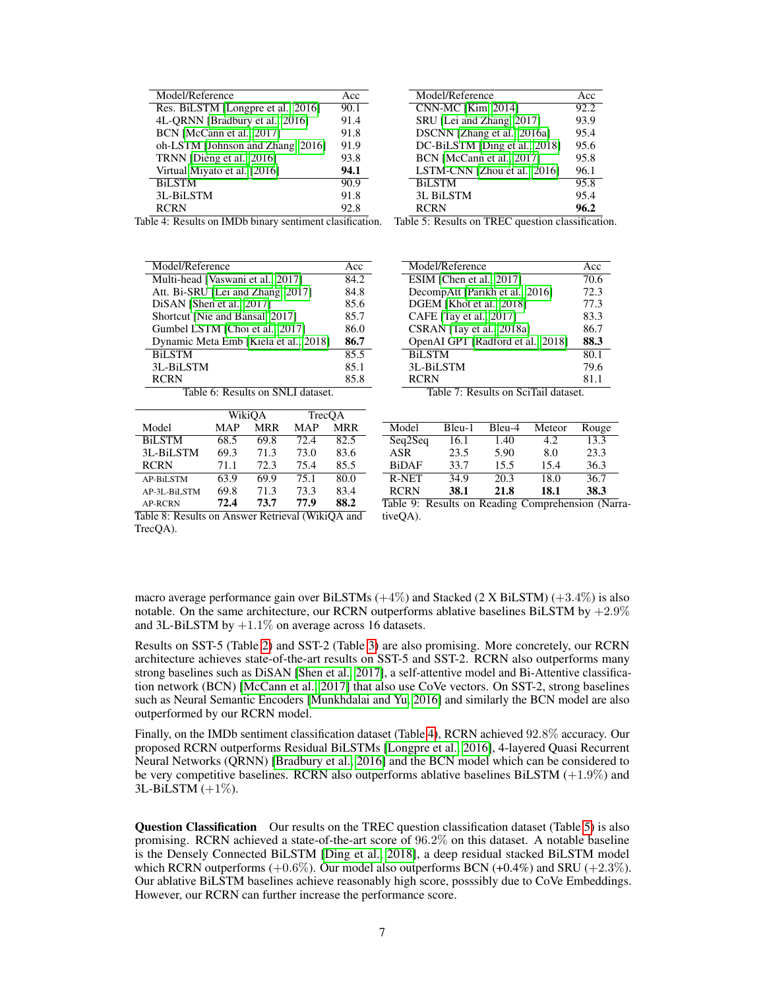<span id="page-6-0"></span>

| Model/Reference                    | Acc  |
|------------------------------------|------|
| Res. BiLSTM [Longpre et al., 2016] | 90.1 |
| 4L-QRNN [Bradbury et al., 2016]    | 91.4 |
| BCN [McCann et al., 2017]          | 91.8 |
| oh-LSTM [Johnson and Zhang, 2016]  | 91.9 |
| TRNN [Dieng et al., 2016]          | 93.8 |
| Virtual Miyato et al. [2016]       | 94.1 |
| <b>BiLSTM</b>                      | 90.9 |
| 3L-BiLSTM                          | 91.8 |
| <b>RCRN</b>                        | 92.8 |

| Model/Reference               | Acc  |
|-------------------------------|------|
| <b>CNN-MC [Kim, 2014]</b>     | 92.2 |
| SRU [Lei and Zhang, 2017]     | 93.9 |
| DSCNN [Zhang et al., 2016a]   | 95.4 |
| DC-BiLSTM [Ding et al., 2018] | 95.6 |
| BCN [McCann et al., 2017]     | 95.8 |
| LSTM-CNN [Zhou et al., 2016]  | 96.1 |
| <b>BiLSTM</b>                 | 95.8 |
| 3L BiLSTM                     | 95.4 |
| <b>RCRN</b>                   | 96.2 |

Table 4: Results on IMDb binary sentiment clasification. Table 5: Results on TREC question classification.

<span id="page-6-1"></span>

| Model/Reference                       | Acc  |
|---------------------------------------|------|
| Multi-head [Vaswani et al., 2017]     | 84.2 |
| Att. Bi-SRU [Lei and Zhang, 2017]     | 84.8 |
| DiSAN [Shen et al., 2017]             | 85.6 |
| Shortcut [Nie and Bansal, 2017]       | 85.7 |
| Gumbel LSTM [Choi et al., 2017]       | 86.0 |
| Dynamic Meta Emb [Kiela et al., 2018] | 86.7 |
| <b>BiLSTM</b>                         | 85.5 |
| 3L-BiLSTM                             | 85.1 |
| RCRN                                  | 85.8 |

Table 6: Results on SNLI dataset.

|                        |            | WikiOA     |      | TrecQA     |
|------------------------|------------|------------|------|------------|
| Model                  | <b>MAP</b> | <b>MRR</b> | MAP  | <b>MRR</b> |
| <b>BiLSTM</b>          | 68.5       | 69.8       | 72.4 | 82.5       |
| 3L-BiLSTM              | 69.3       | 71.3       | 73.0 | 83.6       |
| <b>RCRN</b>            | 71.1       | 72.3       | 75.4 | 85.5       |
| <b>AP-BiLSTM</b>       | 63.9       | 69.9       | 75.1 | 80.0       |
| AP-3L-BiLSTM           | 69.8       | 71.3       | 73.3 | 83.4       |
| <b>AP-RCRN</b>         | 72.4       | 73.7       | 77.9 | 88.2       |
| - - -<br>$\sim$ $\sim$ |            | $\sim$     | .    |            |

| Model/Reference                   | Acc               |
|-----------------------------------|-------------------|
| ESIM [Chen et al., 2017]          | 70.6              |
| DecompAtt [Parikh et al., 2016]   | 72.3              |
| DGEM [Khot et al., 2018]          | 77.3              |
| CAFE [Tay et al., 2017]           | 83.3              |
| CSRAN [Tay et al., 2018a]         | 86.7              |
| OpenAI GPT [Radford et al., 2018] | 88.3              |
| <b>BiLSTM</b>                     | $80.\overline{1}$ |
| 3L-BiLSTM                         | 79.6              |
| <b>RCRN</b>                       | 811               |

Table 7: Results on SciTail dataset.

| Model        | Bleu-1 | Bleu-4 | Meteor | Rouge |
|--------------|--------|--------|--------|-------|
| Seq2Seq      | 16.1   | 1.40   | 4.2    | 13.3  |
| ASR          | 23.5   | 5.90   | 8.0    | 23.3  |
| <b>BiDAF</b> | 33.7   | 15.5   | 15.4   | 36.3  |
| R-NET        | 34.9   | 20.3   | 18.0   | 36.7  |
| <b>RCRN</b>  | 38.1   | 21.8   | 18.1   | 38.3  |

Table 8: Results on Answer Retrieval (WikiQA and TrecQA).

Table 9: Results on Reading Comprehension (NarrativeQA).

macro average performance gain over BiLSTMs  $(+4%)$  and Stacked (2 X BiLSTM)  $(+3.4%)$  is also notable. On the same architecture, our RCRN outperforms ablative baselines BiLSTM by  $+2.9\%$ and 3L-BiLSTM by +1.1% on average across 16 datasets.

Results on SST-5 (Table [2\)](#page-5-0) and SST-2 (Table [3\)](#page-5-0) are also promising. More concretely, our RCRN architecture achieves state-of-the-art results on SST-5 and SST-2. RCRN also outperforms many strong baselines such as DiSAN [\[Shen et al., 2017\]](#page-10-5), a self-attentive model and Bi-Attentive classification network (BCN) [\[McCann et al., 2017\]](#page-10-1) that also use CoVe vectors. On SST-2, strong baselines such as Neural Semantic Encoders [\[Munkhdalai and Yu, 2016\]](#page-10-13) and similarly the BCN model are also outperformed by our RCRN model.

Finally, on the IMDb sentiment classification dataset (Table [4\)](#page-6-0), RCRN achieved 92.8% accuracy. Our proposed RCRN outperforms Residual BiLSTMs [\[Longpre et al., 2016\]](#page-10-4), 4-layered Quasi Recurrent Neural Networks (QRNN) [\[Bradbury et al., 2016\]](#page-8-5) and the BCN model which can be considered to be very competitive baselines. RCRN also outperforms ablative baselines BiLSTM (+1.9%) and  $3L-BiLSTM$  ( $+1\%$ ).

**Question Classification** Our results on the TREC question classification dataset (Table [5\)](#page-6-0) is also promising. RCRN achieved a state-of-the-art score of 96.2% on this dataset. A notable baseline is the Densely Connected BiLSTM [\[Ding et al., 2018\]](#page-9-7), a deep residual stacked BiLSTM model which RCRN outperforms  $(+0.6\%)$ . Our model also outperforms BCN  $(+0.4\%)$  and SRU  $(+2.3\%)$ . Our ablative BiLSTM baselines achieve reasonably high score, posssibly due to CoVe Embeddings. However, our RCRN can further increase the performance score.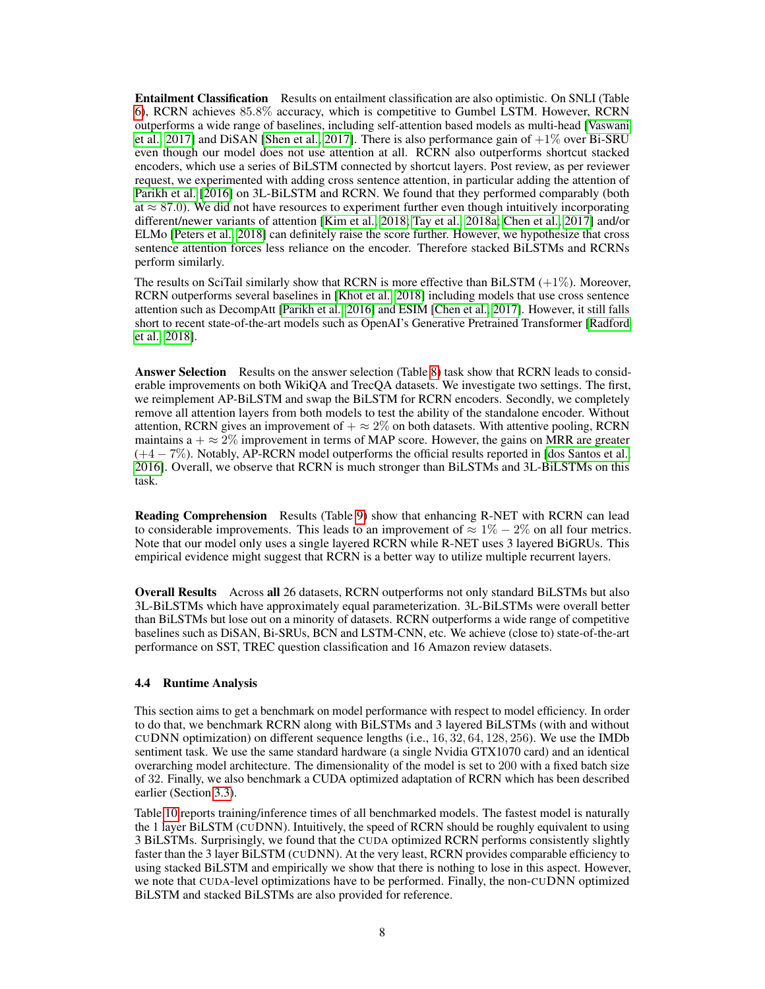Entailment Classification Results on entailment classification are also optimistic. On SNLI (Table [6\)](#page-6-1), RCRN achieves 85.8% accuracy, which is competitive to Gumbel LSTM. However, RCRN outperforms a wide range of baselines, including self-attention based models as multi-head [\[Vaswani](#page-11-5) [et al., 2017\]](#page-11-5) and DiSAN [\[Shen et al., 2017\]](#page-10-5). There is also performance gain of  $+1\%$  over Bi-SRU even though our model does not use attention at all. RCRN also outperforms shortcut stacked encoders, which use a series of BiLSTM connected by shortcut layers. Post review, as per reviewer request, we experimented with adding cross sentence attention, in particular adding the attention of [Parikh et al.](#page-10-16) [\[2016\]](#page-10-16) on 3L-BiLSTM and RCRN. We found that they performed comparably (both at  $\approx$  87.0). We did not have resources to experiment further even though intuitively incorporating different/newer variants of attention [\[Kim et al., 2018;](#page-9-19) [Tay et al., 2018a;](#page-11-17) [Chen et al., 2017\]](#page-8-2) and/or ELMo [\[Peters et al., 2018\]](#page-10-11) can definitely raise the score further. However, we hypothesize that cross sentence attention forces less reliance on the encoder. Therefore stacked BiLSTMs and RCRNs perform similarly.

The results on SciTail similarly show that RCRN is more effective than BiLSTM  $(+1\%)$ . Moreover, RCRN outperforms several baselines in [\[Khot et al., 2018\]](#page-9-9) including models that use cross sentence attention such as DecompAtt [\[Parikh et al., 2016\]](#page-10-16) and ESIM [\[Chen et al., 2017\]](#page-8-2). However, it still falls short to recent state-of-the-art models such as OpenAI's Generative Pretrained Transformer [\[Radford](#page-10-17) [et al., 2018\]](#page-10-17).

Answer Selection Results on the answer selection (Table [8\)](#page-6-1) task show that RCRN leads to considerable improvements on both WikiQA and TrecQA datasets. We investigate two settings. The first, we reimplement AP-BiLSTM and swap the BiLSTM for RCRN encoders. Secondly, we completely remove all attention layers from both models to test the ability of the standalone encoder. Without attention, RCRN gives an improvement of  $+ \approx 2\%$  on both datasets. With attentive pooling, RCRN maintains a  $+ \approx 2\%$  improvement in terms of MAP score. However, the gains on MRR are greater (+4 − 7%). Notably, AP-RCRN model outperforms the official results reported in [\[dos Santos et al.,](#page-9-12) [2016\]](#page-9-12). Overall, we observe that RCRN is much stronger than BiLSTMs and 3L-BiLSTMs on this task.

Reading Comprehension Results (Table [9\)](#page-6-1) show that enhancing R-NET with RCRN can lead to considerable improvements. This leads to an improvement of  $\approx 1\% - 2\%$  on all four metrics. Note that our model only uses a single layered RCRN while R-NET uses 3 layered BiGRUs. This empirical evidence might suggest that RCRN is a better way to utilize multiple recurrent layers.

Overall Results Across all 26 datasets, RCRN outperforms not only standard BiLSTMs but also 3L-BiLSTMs which have approximately equal parameterization. 3L-BiLSTMs were overall better than BiLSTMs but lose out on a minority of datasets. RCRN outperforms a wide range of competitive baselines such as DiSAN, Bi-SRUs, BCN and LSTM-CNN, etc. We achieve (close to) state-of-the-art performance on SST, TREC question classification and 16 Amazon review datasets.

#### 4.4 Runtime Analysis

This section aims to get a benchmark on model performance with respect to model efficiency. In order to do that, we benchmark RCRN along with BiLSTMs and 3 layered BiLSTMs (with and without CUDNN optimization) on different sequence lengths (i.e.,  $16, 32, 64, 128, 256$ ). We use the IMDb sentiment task. We use the same standard hardware (a single Nvidia GTX1070 card) and an identical overarching model architecture. The dimensionality of the model is set to 200 with a fixed batch size of 32. Finally, we also benchmark a CUDA optimized adaptation of RCRN which has been described earlier (Section [3.3\)](#page-3-3).

Table [10](#page-8-7) reports training/inference times of all benchmarked models. The fastest model is naturally the 1 layer BiLSTM (CUDNN). Intuitively, the speed of RCRN should be roughly equivalent to using 3 BiLSTMs. Surprisingly, we found that the CUDA optimized RCRN performs consistently slightly faster than the 3 layer BiLSTM (CUDNN). At the very least, RCRN provides comparable efficiency to using stacked BiLSTM and empirically we show that there is nothing to lose in this aspect. However, we note that CUDA-level optimizations have to be performed. Finally, the non-CUDNN optimized BiLSTM and stacked BiLSTMs are also provided for reference.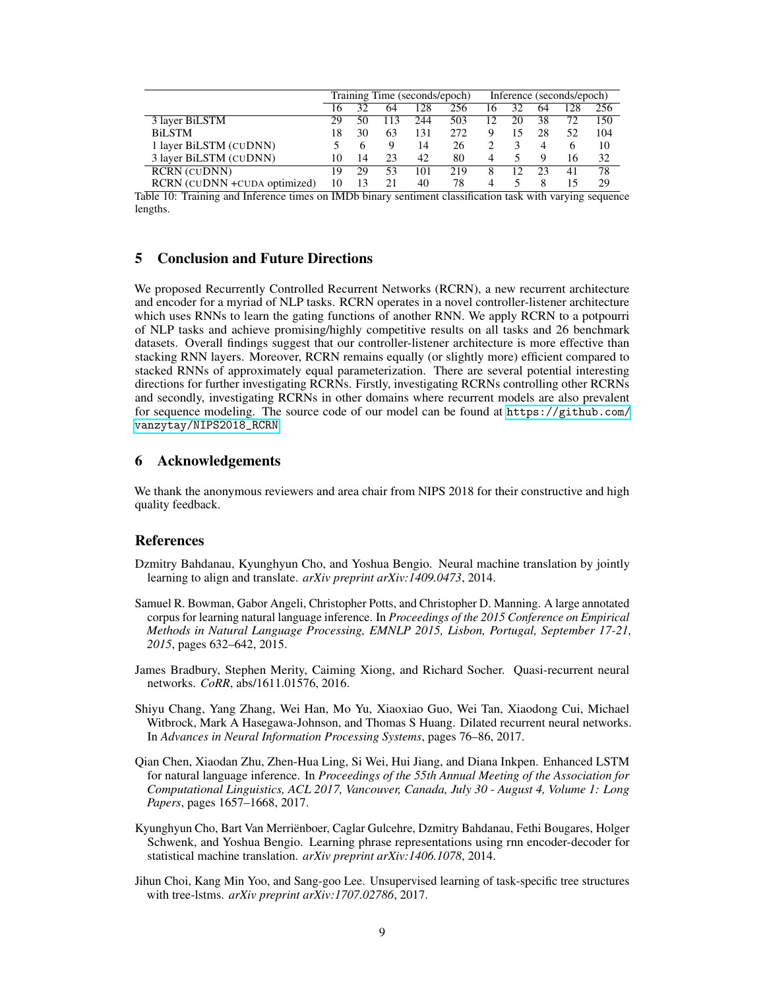<span id="page-8-7"></span>

|                               | Training Time (seconds/epoch) |    |     | Inference (seconds/epoch) |     |    |    |    |    |     |
|-------------------------------|-------------------------------|----|-----|---------------------------|-----|----|----|----|----|-----|
|                               | Iб                            | 32 | 64  | 128                       | 256 | 16 | 32 | 64 |    | 256 |
| 3 layer BiLSTM                | 29                            | 50 | 113 | 244                       | 503 | 12 | 20 | 38 |    | 150 |
| <b>BiLSTM</b>                 | 18                            | 30 | 63  | 131                       | 272 | 9  | 15 | 28 | 52 | 104 |
| 1 layer BiLSTM (CUDNN)        |                               | 6  |     | 14                        | 26  |    |    | 4  |    | 10  |
| 3 layer BiLSTM (CUDNN)        | 10                            | 14 | 23  | 42                        | 80  | 4  |    | Q  | 16 | 32  |
| <b>RCRN</b> (CUDNN)           | 19                            | 29 | 53  | 101                       | 219 | 8  | 12 | 23 | 41 | 78  |
| RCRN (CUDNN + CUDA optimized) |                               | 13 | 21  | 40                        | 78  | 4  |    |    |    | 29  |

Table 10: Training and Inference times on IMDb binary sentiment classification task with varying sequence lengths.

## 5 Conclusion and Future Directions

We proposed Recurrently Controlled Recurrent Networks (RCRN), a new recurrent architecture and encoder for a myriad of NLP tasks. RCRN operates in a novel controller-listener architecture which uses RNNs to learn the gating functions of another RNN. We apply RCRN to a potpourri of NLP tasks and achieve promising/highly competitive results on all tasks and 26 benchmark datasets. Overall findings suggest that our controller-listener architecture is more effective than stacking RNN layers. Moreover, RCRN remains equally (or slightly more) efficient compared to stacked RNNs of approximately equal parameterization. There are several potential interesting directions for further investigating RCRNs. Firstly, investigating RCRNs controlling other RCRNs and secondly, investigating RCRNs in other domains where recurrent models are also prevalent for sequence modeling. The source code of our model can be found at [https://github.com/](https://github.com/vanzytay/NIPS2018_RCRN) [vanzytay/NIPS2018\\_RCRN](https://github.com/vanzytay/NIPS2018_RCRN).

## 6 Acknowledgements

We thank the anonymous reviewers and area chair from NIPS 2018 for their constructive and high quality feedback.

#### References

- <span id="page-8-1"></span>Dzmitry Bahdanau, Kyunghyun Cho, and Yoshua Bengio. Neural machine translation by jointly learning to align and translate. *arXiv preprint arXiv:1409.0473*, 2014.
- <span id="page-8-6"></span>Samuel R. Bowman, Gabor Angeli, Christopher Potts, and Christopher D. Manning. A large annotated corpus for learning natural language inference. In *Proceedings of the 2015 Conference on Empirical Methods in Natural Language Processing, EMNLP 2015, Lisbon, Portugal, September 17-21, 2015*, pages 632–642, 2015.
- <span id="page-8-5"></span>James Bradbury, Stephen Merity, Caiming Xiong, and Richard Socher. Quasi-recurrent neural networks. *CoRR*, abs/1611.01576, 2016.
- <span id="page-8-3"></span>Shiyu Chang, Yang Zhang, Wei Han, Mo Yu, Xiaoxiao Guo, Wei Tan, Xiaodong Cui, Michael Witbrock, Mark A Hasegawa-Johnson, and Thomas S Huang. Dilated recurrent neural networks. In *Advances in Neural Information Processing Systems*, pages 76–86, 2017.
- <span id="page-8-2"></span>Qian Chen, Xiaodan Zhu, Zhen-Hua Ling, Si Wei, Hui Jiang, and Diana Inkpen. Enhanced LSTM for natural language inference. In *Proceedings of the 55th Annual Meeting of the Association for Computational Linguistics, ACL 2017, Vancouver, Canada, July 30 - August 4, Volume 1: Long Papers*, pages 1657–1668, 2017.
- <span id="page-8-0"></span>Kyunghyun Cho, Bart Van Merriënboer, Caglar Gulcehre, Dzmitry Bahdanau, Fethi Bougares, Holger Schwenk, and Yoshua Bengio. Learning phrase representations using rnn encoder-decoder for statistical machine translation. *arXiv preprint arXiv:1406.1078*, 2014.
- <span id="page-8-4"></span>Jihun Choi, Kang Min Yoo, and Sang-goo Lee. Unsupervised learning of task-specific tree structures with tree-lstms. *arXiv preprint arXiv:1707.02786*, 2017.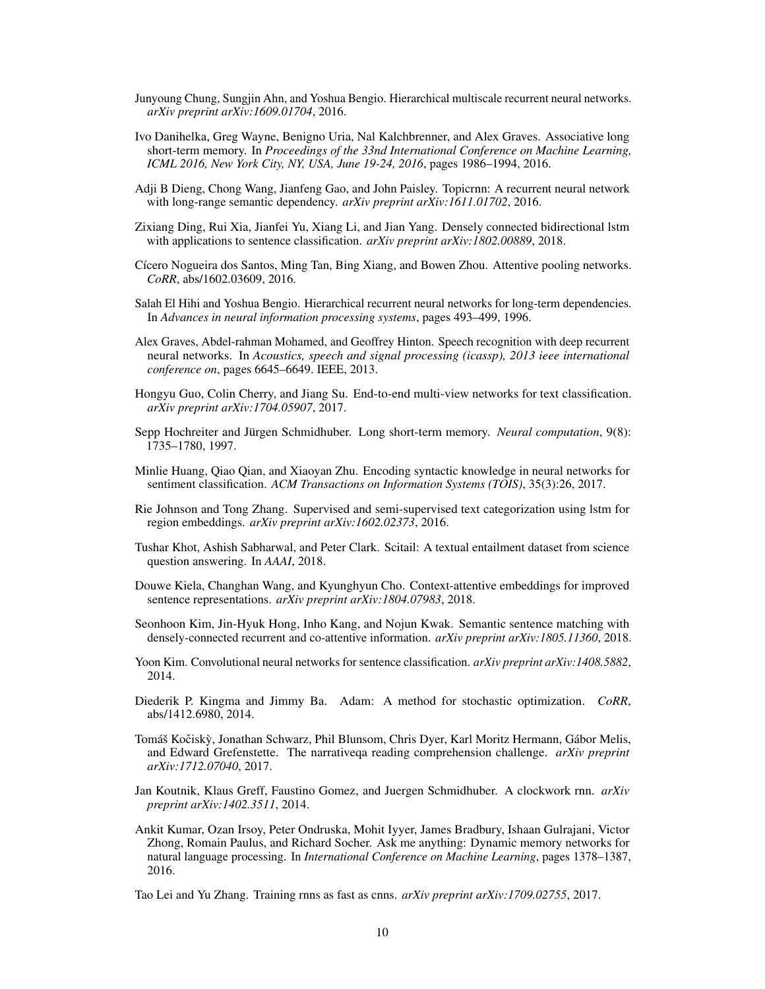- <span id="page-9-5"></span>Junyoung Chung, Sungjin Ahn, and Yoshua Bengio. Hierarchical multiscale recurrent neural networks. *arXiv preprint arXiv:1609.01704*, 2016.
- <span id="page-9-6"></span>Ivo Danihelka, Greg Wayne, Benigno Uria, Nal Kalchbrenner, and Alex Graves. Associative long short-term memory. In *Proceedings of the 33nd International Conference on Machine Learning, ICML 2016, New York City, NY, USA, June 19-24, 2016*, pages 1986–1994, 2016.
- <span id="page-9-16"></span>Adji B Dieng, Chong Wang, Jianfeng Gao, and John Paisley. Topicrnn: A recurrent neural network with long-range semantic dependency. *arXiv preprint arXiv:1611.01702*, 2016.
- <span id="page-9-7"></span>Zixiang Ding, Rui Xia, Jianfei Yu, Xiang Li, and Jian Yang. Densely connected bidirectional lstm with applications to sentence classification. *arXiv preprint arXiv:1802.00889*, 2018.
- <span id="page-9-12"></span>Cícero Nogueira dos Santos, Ming Tan, Bing Xiang, and Bowen Zhou. Attentive pooling networks. *CoRR*, abs/1602.03609, 2016.
- <span id="page-9-1"></span>Salah El Hihi and Yoshua Bengio. Hierarchical recurrent neural networks for long-term dependencies. In *Advances in neural information processing systems*, pages 493–499, 1996.
- <span id="page-9-2"></span>Alex Graves, Abdel-rahman Mohamed, and Geoffrey Hinton. Speech recognition with deep recurrent neural networks. In *Acoustics, speech and signal processing (icassp), 2013 ieee international conference on*, pages 6645–6649. IEEE, 2013.
- <span id="page-9-13"></span>Hongyu Guo, Colin Cherry, and Jiang Su. End-to-end multi-view networks for text classification. *arXiv preprint arXiv:1704.05907*, 2017.
- <span id="page-9-0"></span>Sepp Hochreiter and Jürgen Schmidhuber. Long short-term memory. *Neural computation*, 9(8): 1735–1780, 1997.
- <span id="page-9-3"></span>Minlie Huang, Qiao Qian, and Xiaoyan Zhu. Encoding syntactic knowledge in neural networks for sentiment classification. *ACM Transactions on Information Systems (TOIS)*, 35(3):26, 2017.
- <span id="page-9-15"></span>Rie Johnson and Tong Zhang. Supervised and semi-supervised text categorization using lstm for region embeddings. *arXiv preprint arXiv:1602.02373*, 2016.
- <span id="page-9-9"></span>Tushar Khot, Ashish Sabharwal, and Peter Clark. Scitail: A textual entailment dataset from science question answering. In *AAAI*, 2018.
- <span id="page-9-18"></span>Douwe Kiela, Changhan Wang, and Kyunghyun Cho. Context-attentive embeddings for improved sentence representations. *arXiv preprint arXiv:1804.07983*, 2018.
- <span id="page-9-19"></span>Seonhoon Kim, Jin-Hyuk Hong, Inho Kang, and Nojun Kwak. Semantic sentence matching with densely-connected recurrent and co-attentive information. *arXiv preprint arXiv:1805.11360*, 2018.
- <span id="page-9-17"></span>Yoon Kim. Convolutional neural networks for sentence classification. *arXiv preprint arXiv:1408.5882*, 2014.
- <span id="page-9-11"></span>Diederik P. Kingma and Jimmy Ba. Adam: A method for stochastic optimization. *CoRR*, abs/1412.6980, 2014.
- <span id="page-9-10"></span>Tomáš Kočiskỳ, Jonathan Schwarz, Phil Blunsom, Chris Dyer, Karl Moritz Hermann, Gábor Melis, and Edward Grefenstette. The narrativeqa reading comprehension challenge. *arXiv preprint arXiv:1712.07040*, 2017.
- <span id="page-9-4"></span>Jan Koutnik, Klaus Greff, Faustino Gomez, and Juergen Schmidhuber. A clockwork rnn. *arXiv preprint arXiv:1402.3511*, 2014.
- <span id="page-9-14"></span>Ankit Kumar, Ozan Irsoy, Peter Ondruska, Mohit Iyyer, James Bradbury, Ishaan Gulrajani, Victor Zhong, Romain Paulus, and Richard Socher. Ask me anything: Dynamic memory networks for natural language processing. In *International Conference on Machine Learning*, pages 1378–1387, 2016.
- <span id="page-9-8"></span>Tao Lei and Yu Zhang. Training rnns as fast as cnns. *arXiv preprint arXiv:1709.02755*, 2017.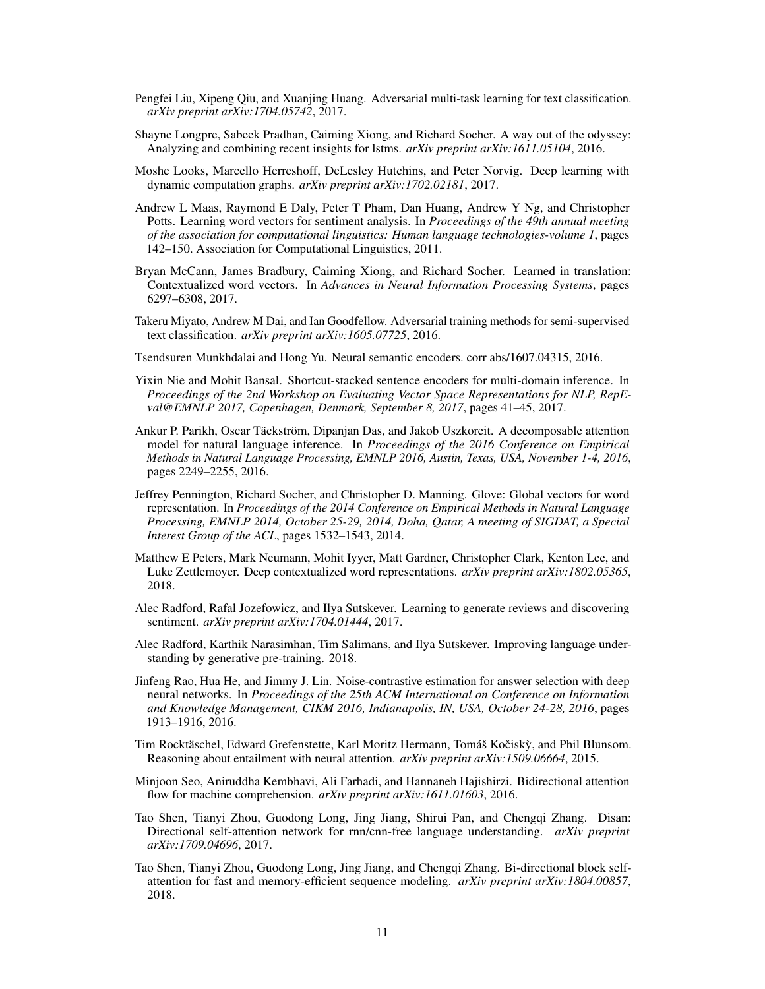- <span id="page-10-7"></span>Pengfei Liu, Xipeng Qiu, and Xuanjing Huang. Adversarial multi-task learning for text classification. *arXiv preprint arXiv:1704.05742*, 2017.
- <span id="page-10-4"></span>Shayne Longpre, Sabeek Pradhan, Caiming Xiong, and Richard Socher. A way out of the odyssey: Analyzing and combining recent insights for lstms. *arXiv preprint arXiv:1611.05104*, 2016.
- <span id="page-10-12"></span>Moshe Looks, Marcello Herreshoff, DeLesley Hutchins, and Peter Norvig. Deep learning with dynamic computation graphs. *arXiv preprint arXiv:1702.02181*, 2017.
- <span id="page-10-8"></span>Andrew L Maas, Raymond E Daly, Peter T Pham, Dan Huang, Andrew Y Ng, and Christopher Potts. Learning word vectors for sentiment analysis. In *Proceedings of the 49th annual meeting of the association for computational linguistics: Human language technologies-volume 1*, pages 142–150. Association for Computational Linguistics, 2011.
- <span id="page-10-1"></span>Bryan McCann, James Bradbury, Caiming Xiong, and Richard Socher. Learned in translation: Contextualized word vectors. In *Advances in Neural Information Processing Systems*, pages 6297–6308, 2017.
- <span id="page-10-15"></span>Takeru Miyato, Andrew M Dai, and Ian Goodfellow. Adversarial training methods for semi-supervised text classification. *arXiv preprint arXiv:1605.07725*, 2016.
- <span id="page-10-13"></span>Tsendsuren Munkhdalai and Hong Yu. Neural semantic encoders. corr abs/1607.04315, 2016.
- <span id="page-10-2"></span>Yixin Nie and Mohit Bansal. Shortcut-stacked sentence encoders for multi-domain inference. In *Proceedings of the 2nd Workshop on Evaluating Vector Space Representations for NLP, RepEval@EMNLP 2017, Copenhagen, Denmark, September 8, 2017*, pages 41–45, 2017.
- <span id="page-10-16"></span>Ankur P. Parikh, Oscar Täckström, Dipanjan Das, and Jakob Uszkoreit. A decomposable attention model for natural language inference. In *Proceedings of the 2016 Conference on Empirical Methods in Natural Language Processing, EMNLP 2016, Austin, Texas, USA, November 1-4, 2016*, pages 2249–2255, 2016.
- <span id="page-10-10"></span>Jeffrey Pennington, Richard Socher, and Christopher D. Manning. Glove: Global vectors for word representation. In *Proceedings of the 2014 Conference on Empirical Methods in Natural Language Processing, EMNLP 2014, October 25-29, 2014, Doha, Qatar, A meeting of SIGDAT, a Special Interest Group of the ACL*, pages 1532–1543, 2014.
- <span id="page-10-11"></span>Matthew E Peters, Mark Neumann, Mohit Iyyer, Matt Gardner, Christopher Clark, Kenton Lee, and Luke Zettlemoyer. Deep contextualized word representations. *arXiv preprint arXiv:1802.05365*, 2018.
- <span id="page-10-14"></span>Alec Radford, Rafal Jozefowicz, and Ilya Sutskever. Learning to generate reviews and discovering sentiment. *arXiv preprint arXiv:1704.01444*, 2017.
- <span id="page-10-17"></span>Alec Radford, Karthik Narasimhan, Tim Salimans, and Ilya Sutskever. Improving language understanding by generative pre-training. 2018.
- <span id="page-10-9"></span>Jinfeng Rao, Hua He, and Jimmy J. Lin. Noise-contrastive estimation for answer selection with deep neural networks. In *Proceedings of the 25th ACM International on Conference on Information and Knowledge Management, CIKM 2016, Indianapolis, IN, USA, October 24-28, 2016*, pages 1913–1916, 2016.
- <span id="page-10-0"></span>Tim Rocktäschel, Edward Grefenstette, Karl Moritz Hermann, Tomáš Kočiskỳ, and Phil Blunsom. Reasoning about entailment with neural attention. *arXiv preprint arXiv:1509.06664*, 2015.
- <span id="page-10-3"></span>Minjoon Seo, Aniruddha Kembhavi, Ali Farhadi, and Hannaneh Hajishirzi. Bidirectional attention flow for machine comprehension. *arXiv preprint arXiv:1611.01603*, 2016.
- <span id="page-10-5"></span>Tao Shen, Tianyi Zhou, Guodong Long, Jing Jiang, Shirui Pan, and Chengqi Zhang. Disan: Directional self-attention network for rnn/cnn-free language understanding. *arXiv preprint arXiv:1709.04696*, 2017.
- <span id="page-10-6"></span>Tao Shen, Tianyi Zhou, Guodong Long, Jing Jiang, and Chengqi Zhang. Bi-directional block selfattention for fast and memory-efficient sequence modeling. *arXiv preprint arXiv:1804.00857*, 2018.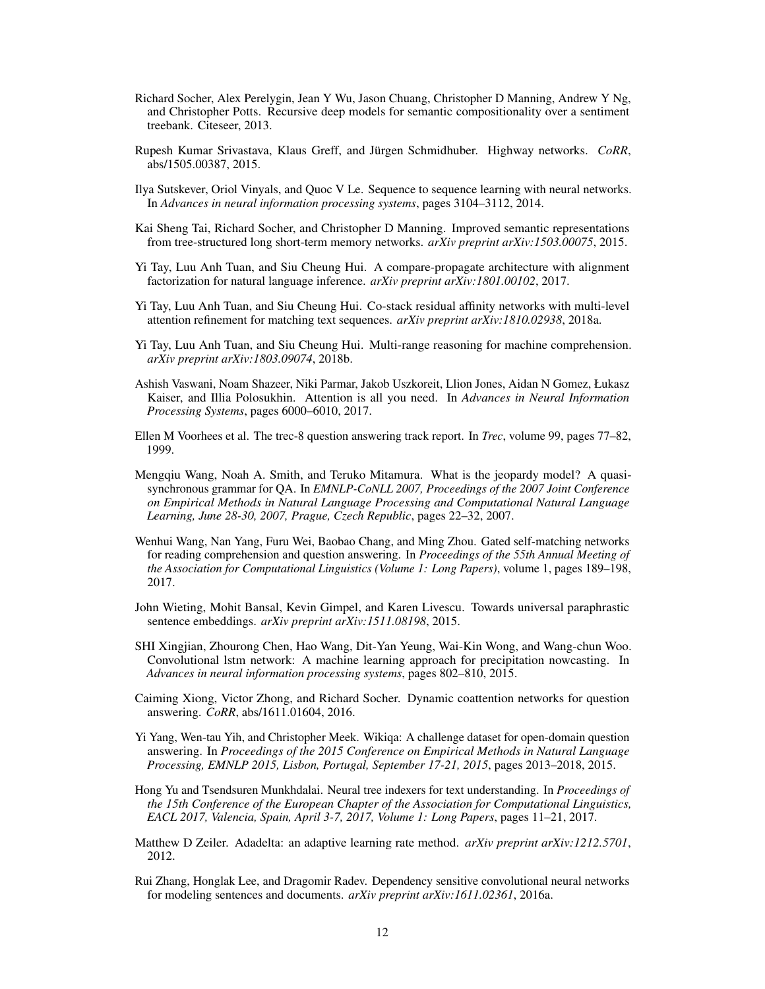- <span id="page-11-7"></span>Richard Socher, Alex Perelygin, Jean Y Wu, Jason Chuang, Christopher D Manning, Andrew Y Ng, and Christopher Potts. Recursive deep models for semantic compositionality over a sentiment treebank. Citeseer, 2013.
- <span id="page-11-11"></span>Rupesh Kumar Srivastava, Klaus Greff, and Jürgen Schmidhuber. Highway networks. *CoRR*, abs/1505.00387, 2015.
- <span id="page-11-1"></span>Ilya Sutskever, Oriol Vinyals, and Quoc V Le. Sequence to sequence learning with neural networks. In *Advances in neural information processing systems*, pages 3104–3112, 2014.
- <span id="page-11-3"></span>Kai Sheng Tai, Richard Socher, and Christopher D Manning. Improved semantic representations from tree-structured long short-term memory networks. *arXiv preprint arXiv:1503.00075*, 2015.
- <span id="page-11-16"></span>Yi Tay, Luu Anh Tuan, and Siu Cheung Hui. A compare-propagate architecture with alignment factorization for natural language inference. *arXiv preprint arXiv:1801.00102*, 2017.
- <span id="page-11-17"></span>Yi Tay, Luu Anh Tuan, and Siu Cheung Hui. Co-stack residual affinity networks with multi-level attention refinement for matching text sequences. *arXiv preprint arXiv:1810.02938*, 2018a.
- <span id="page-11-6"></span>Yi Tay, Luu Anh Tuan, and Siu Cheung Hui. Multi-range reasoning for machine comprehension. *arXiv preprint arXiv:1803.09074*, 2018b.
- <span id="page-11-5"></span>Ashish Vaswani, Noam Shazeer, Niki Parmar, Jakob Uszkoreit, Llion Jones, Aidan N Gomez, Łukasz Kaiser, and Illia Polosukhin. Attention is all you need. In *Advances in Neural Information Processing Systems*, pages 6000–6010, 2017.
- <span id="page-11-8"></span>Ellen M Voorhees et al. The trec-8 question answering track report. In *Trec*, volume 99, pages 77–82, 1999.
- <span id="page-11-10"></span>Mengqiu Wang, Noah A. Smith, and Teruko Mitamura. What is the jeopardy model? A quasisynchronous grammar for QA. In *EMNLP-CoNLL 2007, Proceedings of the 2007 Joint Conference on Empirical Methods in Natural Language Processing and Computational Natural Language Learning, June 28-30, 2007, Prague, Czech Republic*, pages 22–32, 2007.
- <span id="page-11-2"></span>Wenhui Wang, Nan Yang, Furu Wei, Baobao Chang, and Ming Zhou. Gated self-matching networks for reading comprehension and question answering. In *Proceedings of the 55th Annual Meeting of the Association for Computational Linguistics (Volume 1: Long Papers)*, volume 1, pages 189–198, 2017.
- <span id="page-11-14"></span>John Wieting, Mohit Bansal, Kevin Gimpel, and Karen Livescu. Towards universal paraphrastic sentence embeddings. *arXiv preprint arXiv:1511.08198*, 2015.
- <span id="page-11-4"></span>SHI Xingjian, Zhourong Chen, Hao Wang, Dit-Yan Yeung, Wai-Kin Wong, and Wang-chun Woo. Convolutional lstm network: A machine learning approach for precipitation nowcasting. In *Advances in neural information processing systems*, pages 802–810, 2015.
- <span id="page-11-0"></span>Caiming Xiong, Victor Zhong, and Richard Socher. Dynamic coattention networks for question answering. *CoRR*, abs/1611.01604, 2016.
- <span id="page-11-9"></span>Yi Yang, Wen-tau Yih, and Christopher Meek. Wikiqa: A challenge dataset for open-domain question answering. In *Proceedings of the 2015 Conference on Empirical Methods in Natural Language Processing, EMNLP 2015, Lisbon, Portugal, September 17-21, 2015*, pages 2013–2018, 2015.
- <span id="page-11-13"></span>Hong Yu and Tsendsuren Munkhdalai. Neural tree indexers for text understanding. In *Proceedings of the 15th Conference of the European Chapter of the Association for Computational Linguistics, EACL 2017, Valencia, Spain, April 3-7, 2017, Volume 1: Long Papers*, pages 11–21, 2017.
- <span id="page-11-12"></span>Matthew D Zeiler. Adadelta: an adaptive learning rate method. *arXiv preprint arXiv:1212.5701*, 2012.
- <span id="page-11-15"></span>Rui Zhang, Honglak Lee, and Dragomir Radev. Dependency sensitive convolutional neural networks for modeling sentences and documents. *arXiv preprint arXiv:1611.02361*, 2016a.